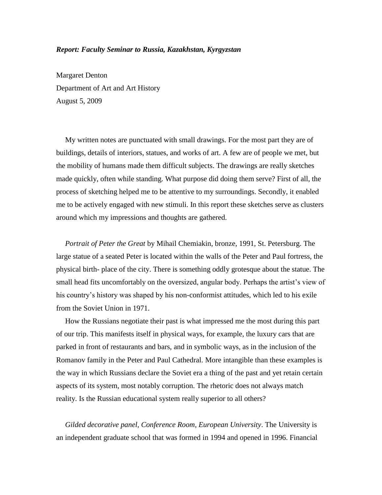## *Report: Faculty Seminar to Russia, Kazakhstan, Kyrgyzstan*

Margaret Denton Department of Art and Art History August 5, 2009

My written notes are punctuated with small drawings. For the most part they are of buildings, details of interiors, statues, and works of art. A few are of people we met, but the mobility of humans made them difficult subjects. The drawings are really sketches made quickly, often while standing. What purpose did doing them serve? First of all, the process of sketching helped me to be attentive to my surroundings. Secondly, it enabled me to be actively engaged with new stimuli. In this report these sketches serve as clusters around which my impressions and thoughts are gathered.

*Portrait of Peter the Great* by Mihail Chemiakin, bronze, 1991, St. Petersburg. The large statue of a seated Peter is located within the walls of the Peter and Paul fortress, the physical birth- place of the city. There is something oddly grotesque about the statue. The small head fits uncomfortably on the oversized, angular body. Perhaps the artist's view of his country's history was shaped by his non-conformist attitudes, which led to his exile from the Soviet Union in 1971.

How the Russians negotiate their past is what impressed me the most during this part of our trip. This manifests itself in physical ways, for example, the luxury cars that are parked in front of restaurants and bars, and in symbolic ways, as in the inclusion of the Romanov family in the Peter and Paul Cathedral. More intangible than these examples is the way in which Russians declare the Soviet era a thing of the past and yet retain certain aspects of its system, most notably corruption. The rhetoric does not always match reality. Is the Russian educational system really superior to all others?

*Gilded decorative panel, Conference Room, European University*. The University is an independent graduate school that was formed in 1994 and opened in 1996. Financial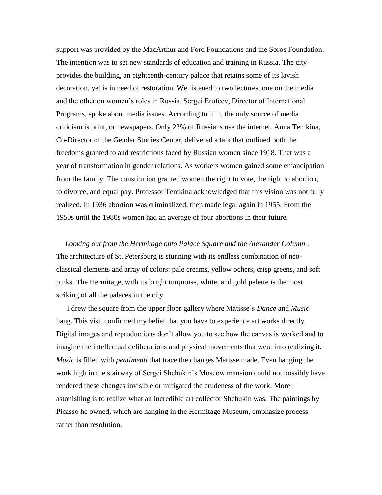support was provided by the MacArthur and Ford Foundations and the Soros Foundation. The intention was to set new standards of education and training in Russia. The city provides the building, an eighteenth-century palace that retains some of its lavish decoration, yet is in need of restoration. We listened to two lectures, one on the media and the other on women's roles in Russia. Sergei Erofeev, Director of International Programs, spoke about media issues. According to him, the only source of media criticism is print, or newspapers. Only 22% of Russians use the internet. Anna Temkina, Co-Director of the Gender Studies Center, delivered a talk that outlined both the freedoms granted to and restrictions faced by Russian women since 1918. That was a year of transformation in gender relations. As workers women gained some emancipation from the family. The constitution granted women the right to vote, the right to abortion, to divorce, and equal pay. Professor Temkina acknowledged that this vision was not fully realized. In 1936 abortion was criminalized, then made legal again in 1955. From the 1950s until the 1980s women had an average of four abortions in their future.

*Looking out from the Hermitage onto Palace Square and the Alexander Column* . The architecture of St. Petersburg is stunning with its endless combination of neoclassical elements and array of colors: pale creams, yellow ochers, crisp greens, and soft pinks. The Hermitage, with its bright turquoise, white, and gold palette is the most striking of all the palaces in the city.

I drew the square from the upper floor gallery where Matisse's *Dance* and *Music*  hang. This visit confirmed my belief that you have to experience art works directly. Digital images and reproductions don't allow you to see how the canvas is worked and to imagine the intellectual deliberations and physical movements that went into realizing it. *Music* is filled with *pentimenti* that trace the changes Matisse made. Even hanging the work high in the stairway of Sergei Shchukin's Moscow mansion could not possibly have rendered these changes invisible or mitigated the crudeness of the work. More astonishing is to realize what an incredible art collector Shchukin was. The paintings by Picasso he owned, which are hanging in the Hermitage Museum, emphasize process rather than resolution.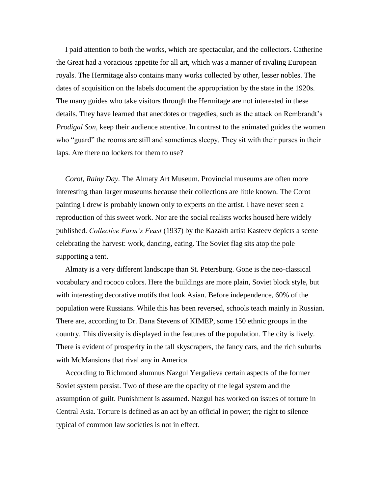I paid attention to both the works, which are spectacular, and the collectors. Catherine the Great had a voracious appetite for all art, which was a manner of rivaling European royals. The Hermitage also contains many works collected by other, lesser nobles. The dates of acquisition on the labels document the appropriation by the state in the 1920s. The many guides who take visitors through the Hermitage are not interested in these details. They have learned that anecdotes or tragedies, such as the attack on Rembrandt's *Prodigal Son,* keep their audience attentive. In contrast to the animated guides the women who "guard" the rooms are still and sometimes sleepy. They sit with their purses in their laps. Are there no lockers for them to use?

*Corot, Rainy Day*. The Almaty Art Museum. Provincial museums are often more interesting than larger museums because their collections are little known. The Corot painting I drew is probably known only to experts on the artist. I have never seen a reproduction of this sweet work. Nor are the social realists works housed here widely published. *Collective Farm's Feast* (1937) by the Kazakh artist Kasteev depicts a scene celebrating the harvest: work, dancing, eating. The Soviet flag sits atop the pole supporting a tent.

Almaty is a very different landscape than St. Petersburg. Gone is the neo-classical vocabulary and rococo colors. Here the buildings are more plain, Soviet block style, but with interesting decorative motifs that look Asian. Before independence, 60% of the population were Russians. While this has been reversed, schools teach mainly in Russian. There are, according to Dr. Dana Stevens of KIMEP, some 150 ethnic groups in the country. This diversity is displayed in the features of the population. The city is lively. There is evident of prosperity in the tall skyscrapers, the fancy cars, and the rich suburbs with McMansions that rival any in America.

According to Richmond alumnus Nazgul Yergalieva certain aspects of the former Soviet system persist. Two of these are the opacity of the legal system and the assumption of guilt. Punishment is assumed. Nazgul has worked on issues of torture in Central Asia. Torture is defined as an act by an official in power; the right to silence typical of common law societies is not in effect.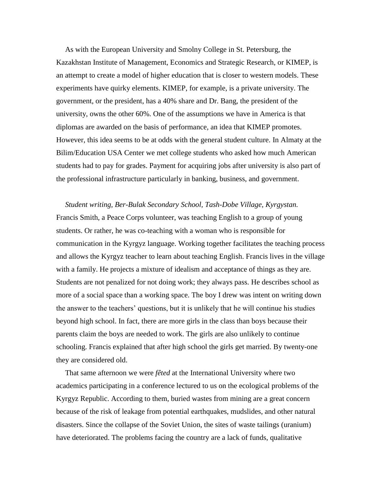As with the European University and Smolny College in St. Petersburg, the Kazakhstan Institute of Management, Economics and Strategic Research, or KIMEP, is an attempt to create a model of higher education that is closer to western models. These experiments have quirky elements. KIMEP, for example, is a private university. The government, or the president, has a 40% share and Dr. Bang, the president of the university, owns the other 60%. One of the assumptions we have in America is that diplomas are awarded on the basis of performance, an idea that KIMEP promotes. However, this idea seems to be at odds with the general student culture. In Almaty at the Bilim/Education USA Center we met college students who asked how much American students had to pay for grades. Payment for acquiring jobs after university is also part of the professional infrastructure particularly in banking, business, and government.

*Student writing, Ber-Bulak Secondary School, Tash-Dobe Village, Kyrgystan.* Francis Smith, a Peace Corps volunteer, was teaching English to a group of young students. Or rather, he was co-teaching with a woman who is responsible for communication in the Kyrgyz language. Working together facilitates the teaching process and allows the Kyrgyz teacher to learn about teaching English. Francis lives in the village with a family. He projects a mixture of idealism and acceptance of things as they are. Students are not penalized for not doing work; they always pass. He describes school as more of a social space than a working space. The boy I drew was intent on writing down the answer to the teachers' questions, but it is unlikely that he will continue his studies beyond high school. In fact, there are more girls in the class than boys because their parents claim the boys are needed to work. The girls are also unlikely to continue schooling. Francis explained that after high school the girls get married. By twenty-one they are considered old.

That same afternoon we were *fêted* at the International University where two academics participating in a conference lectured to us on the ecological problems of the Kyrgyz Republic. According to them, buried wastes from mining are a great concern because of the risk of leakage from potential earthquakes, mudslides, and other natural disasters. Since the collapse of the Soviet Union, the sites of waste tailings (uranium) have deteriorated. The problems facing the country are a lack of funds, qualitative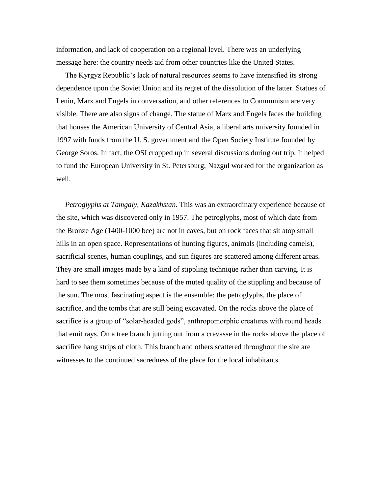information, and lack of cooperation on a regional level. There was an underlying message here: the country needs aid from other countries like the United States.

The Kyrgyz Republic's lack of natural resources seems to have intensified its strong dependence upon the Soviet Union and its regret of the dissolution of the latter. Statues of Lenin, Marx and Engels in conversation, and other references to Communism are very visible. There are also signs of change. The statue of Marx and Engels faces the building that houses the American University of Central Asia, a liberal arts university founded in 1997 with funds from the U. S. government and the Open Society Institute founded by George Soros. In fact, the OSI cropped up in several discussions during out trip. It helped to fund the European University in St. Petersburg; Nazgul worked for the organization as well.

*Petroglyphs at Tamgaly, Kazakhstan.* This was an extraordinary experience because of the site, which was discovered only in 1957. The petroglyphs, most of which date from the Bronze Age (1400-1000 bce) are not in caves, but on rock faces that sit atop small hills in an open space. Representations of hunting figures, animals (including camels), sacrificial scenes, human couplings, and sun figures are scattered among different areas. They are small images made by a kind of stippling technique rather than carving. It is hard to see them sometimes because of the muted quality of the stippling and because of the sun. The most fascinating aspect is the ensemble: the petroglyphs, the place of sacrifice, and the tombs that are still being excavated. On the rocks above the place of sacrifice is a group of "solar-headed gods", anthropomorphic creatures with round heads that emit rays. On a tree branch jutting out from a crevasse in the rocks above the place of sacrifice hang strips of cloth. This branch and others scattered throughout the site are witnesses to the continued sacredness of the place for the local inhabitants.